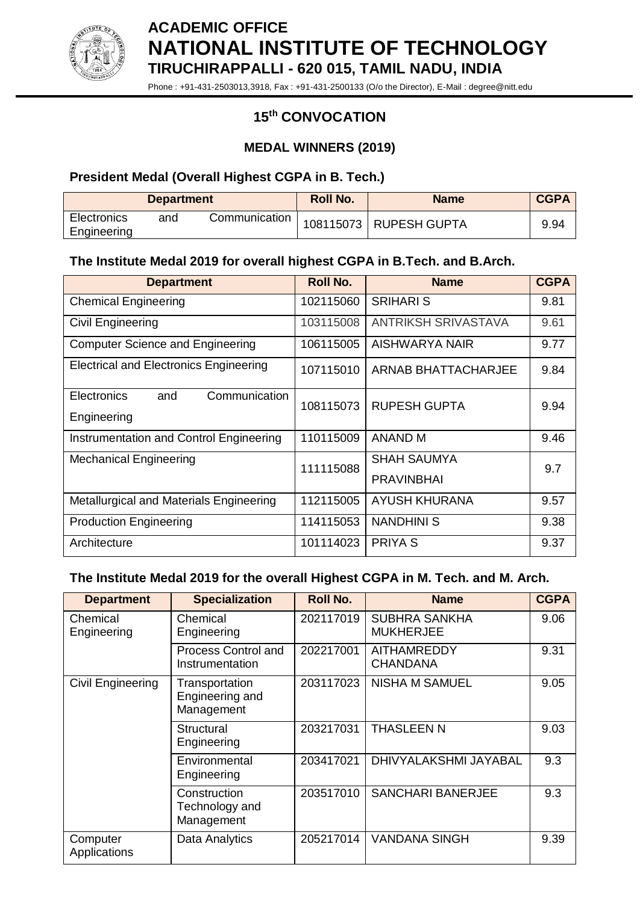

**ACADEMIC OFFICE NATIONAL INSTITUTE OF TECHNOLOGY TIRUCHIRAPPALLI - 620 015, TAMIL NADU, INDIA**

Phone : +91-431-2503013,3918, Fax : +91-431-2500133 (O/o the Director), E-Mail : degree@nitt.edu

# **15 th CONVOCATION**

#### **MEDAL WINNERS (2019)**

# **President Medal (Overall Highest CGPA in B. Tech.)**

| <b>Department</b>          |     | <b>Roll No.</b> | <b>Name</b> | <b>CGPA</b>            |      |
|----------------------------|-----|-----------------|-------------|------------------------|------|
| Electronics<br>Engineering | and | Communication   |             | 108115073 RUPESH GUPTA | 9.94 |

# **The Institute Medal 2019 for overall highest CGPA in B.Tech. and B.Arch.**

| <b>Department</b>                                  | Roll No.  | <b>Name</b>                      | <b>CGPA</b> |
|----------------------------------------------------|-----------|----------------------------------|-------------|
| <b>Chemical Engineering</b>                        | 102115060 | <b>SRIHARI S</b>                 | 9.81        |
| Civil Engineering                                  | 103115008 | <b>ANTRIKSH SRIVASTAVA</b>       | 9.61        |
| <b>Computer Science and Engineering</b>            | 106115005 | AISHWARYA NAIR                   | 9.77        |
| <b>Electrical and Electronics Engineering</b>      | 107115010 | ARNAB BHATTACHARJEE              | 9.84        |
| Electronics<br>Communication<br>and<br>Engineering | 108115073 | <b>RUPESH GUPTA</b>              | 9.94        |
| Instrumentation and Control Engineering            | 110115009 | <b>ANAND M</b>                   | 9.46        |
| <b>Mechanical Engineering</b>                      | 111115088 | SHAH SAUMYA<br><b>PRAVINBHAI</b> | 9.7         |
| Metallurgical and Materials Engineering            | 112115005 | <b>AYUSH KHURANA</b>             | 9.57        |
| <b>Production Engineering</b>                      | 114115053 | <b>NANDHINI S</b>                | 9.38        |
| Architecture                                       | 101114023 | <b>PRIYA S</b>                   | 9.37        |

# **The Institute Medal 2019 for the overall Highest CGPA in M. Tech. and M. Arch.**

| <b>Department</b>        | <b>Specialization</b>                           | <b>Roll No.</b> | <b>Name</b>                              | <b>CGPA</b> |
|--------------------------|-------------------------------------------------|-----------------|------------------------------------------|-------------|
| Chemical<br>Engineering  | Chemical<br>Engineering                         | 202117019       | <b>SUBHRA SANKHA</b><br><b>MUKHERJEE</b> | 9.06        |
|                          | <b>Process Control and</b><br>Instrumentation   | 202217001       | <b>AITHAMREDDY</b><br><b>CHANDANA</b>    | 9.31        |
| Civil Engineering        | Transportation<br>Engineering and<br>Management | 203117023       | <b>NISHA M SAMUEL</b>                    | 9.05        |
|                          | Structural<br>Engineering                       | 203217031       | <b>THASLEEN N</b>                        | 9.03        |
|                          | Environmental<br>Engineering                    | 203417021       | DHIVYALAKSHMI JAYABAL                    | 9.3         |
|                          | Construction<br>Technology and<br>Management    | 203517010       | <b>SANCHARI BANERJEE</b>                 | 9.3         |
| Computer<br>Applications | Data Analytics                                  | 205217014       | <b>VANDANA SINGH</b>                     | 9.39        |